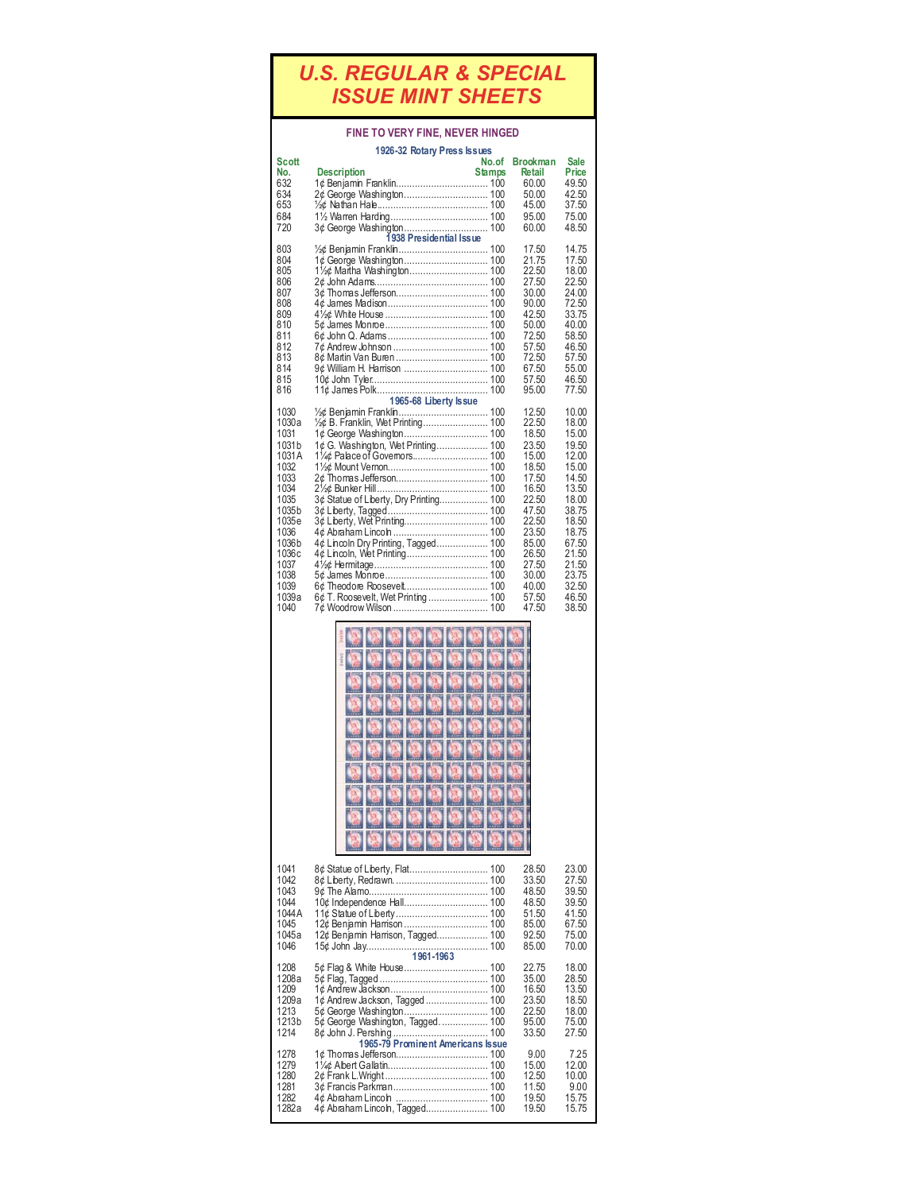## *U.S. REGULAR & SPECIAL ISSUE MINT SHEETS*

## **FINE TO VERY FINE, NEVER HINGED**

|                                                                                                                                                               | 1926-32 Rotary Press Issues                                                                                                                                                                                                                                                                  |                        |                                                                                                                                                                         |                                                                                                                                                                         |
|---------------------------------------------------------------------------------------------------------------------------------------------------------------|----------------------------------------------------------------------------------------------------------------------------------------------------------------------------------------------------------------------------------------------------------------------------------------------|------------------------|-------------------------------------------------------------------------------------------------------------------------------------------------------------------------|-------------------------------------------------------------------------------------------------------------------------------------------------------------------------|
| Scott<br>No.<br>632<br>634<br>653<br>684<br>720                                                                                                               | <b>Description</b><br>2¢ George Washington 100<br>3¢ George Washington 100<br>1938 Presidential Issue                                                                                                                                                                                        | No.of<br><b>Stamps</b> | Brookman<br>Retail<br>60.00<br>50.00<br>45.00<br>95.00<br>60.00                                                                                                         | Sale<br><b>Price</b><br>49.50<br>42.50<br>37.50<br>75.00<br>48.50                                                                                                       |
| 803<br>804<br>805<br>806<br>807<br>808<br>809<br>810<br>811<br>812<br>813<br>814<br>815<br>816                                                                | 3¢ Thomas Jefferson 100                                                                                                                                                                                                                                                                      |                        | 17.50<br>21.75<br>22.50<br>27.50<br>30.00<br>90.00<br>42.50<br>50.00<br>72.50<br>57.50<br>72.50<br>67.50<br>57.50<br>95.00                                              | 14.75<br>17.50<br>18.00<br>22.50<br>24.00<br>72.50<br>33.75<br>40.00<br>58.50<br>46.50<br>57.50<br>55.00<br>46.50<br>77.50                                              |
| 1030<br>1030a<br>1031<br>1031 b<br>1031A<br>1032<br>1033<br>1034<br>1035<br>1035b<br>1035e<br>1036<br>1036b<br>1036c<br>1037<br>1038<br>1039<br>1039a<br>1040 | 1965-68 Liberty Issue<br>½¢ B. Franklin, Wet Printing 100<br>1¢ G. Washington, Wet Printing 100<br>3¢ Statue of Liberty, Dry Printing 100<br>3¢ Liberty, Tagged……………………………… 100<br>3¢ Liberty, Wet Printing 100<br>4¢ Lincoln Dry Printing, Tagged 100<br>6¢ T. Roosevelt, Wet Printing  100 |                        | 12.50<br>22.50<br>18.50<br>23.50<br>15.00<br>18.50<br>17.50<br>16.50<br>22.50<br>47.50<br>22.50<br>23.50<br>85.00<br>26.50<br>27.50<br>30.00<br>40.00<br>57.50<br>47.50 | 10.00<br>18.00<br>15.00<br>19.50<br>12.00<br>15.00<br>14.50<br>13.50<br>18.00<br>38.75<br>18.50<br>18.75<br>67.50<br>21.50<br>21.50<br>23.75<br>32.50<br>46.50<br>38.50 |
|                                                                                                                                                               |                                                                                                                                                                                                                                                                                              |                        |                                                                                                                                                                         |                                                                                                                                                                         |
| 1041<br>1042<br>1043<br>1044<br>1044 A<br>1045<br>1045a<br>1046                                                                                               | 12¢ Benjamin Harrison, Tagged 100<br>1961-1963                                                                                                                                                                                                                                               |                        | 28.50<br>33.50<br>48.50<br>48.50<br>51.50<br>85.00<br>92.50<br>85.00                                                                                                    | 23.00<br>27.50<br>39.50<br>39.50<br>41.50<br>67.50<br>75.00<br>70.00                                                                                                    |
| 1208<br>1208a<br>1209<br>1209a<br>1213<br>1213b<br>1214                                                                                                       | 1¢ Andrew Jackson, Tagged  100<br>5¢ George Washington, Tagged 100<br>1965-79 Prominent Americans Issue                                                                                                                                                                                      |                        | 22.75<br>35.00<br>16.50<br>23.50<br>22.50<br>95.00<br>33.50                                                                                                             | 18.00<br>28.50<br>13.50<br>18.50<br>18.00<br>75.00<br>27.50                                                                                                             |
| 1278<br>1279<br>1280<br>1281<br>1282<br>1282a                                                                                                                 | 4¢ Abraham Lincoln, Tagged 100                                                                                                                                                                                                                                                               |                        | 9.00<br>15.00<br>12.50<br>11.50<br>19.50<br>19.50                                                                                                                       | 7.25<br>12.00<br>10.00<br>9.00<br>15.75<br>15.75                                                                                                                        |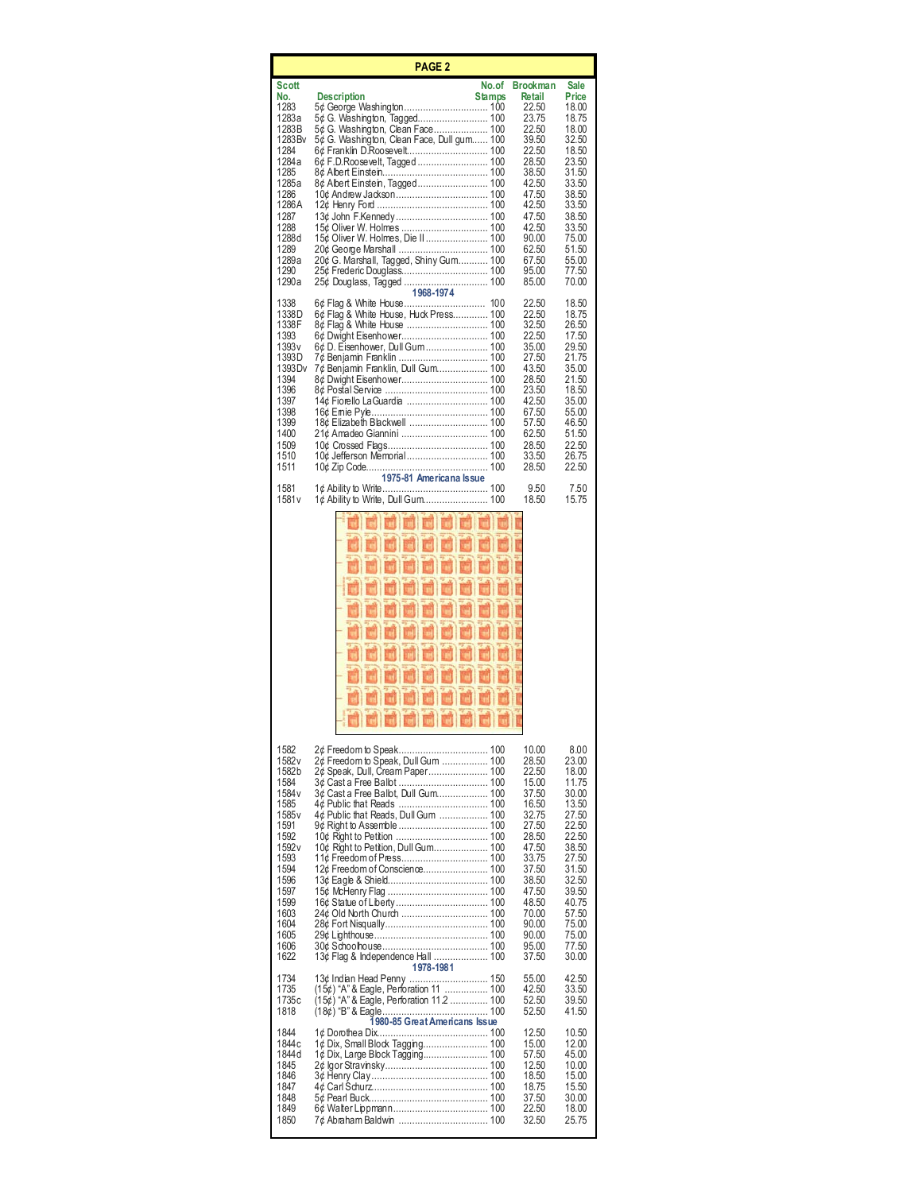| <b>PAGE 2</b>                                                                                                                                                         |                                                                                                                                                                                                                                                                                                                           |       |                                                                                                                                                                                    |                                                                                                                                                                                 |
|-----------------------------------------------------------------------------------------------------------------------------------------------------------------------|---------------------------------------------------------------------------------------------------------------------------------------------------------------------------------------------------------------------------------------------------------------------------------------------------------------------------|-------|------------------------------------------------------------------------------------------------------------------------------------------------------------------------------------|---------------------------------------------------------------------------------------------------------------------------------------------------------------------------------|
| Scott<br>No.<br>1283<br>1283a<br>1283B<br>1283 Bv<br>1284<br>1284a<br>1285<br>1285a<br>1286<br>1286 A<br>1287<br>1288<br>1288d<br>1289<br>1289a<br>1290<br>1290a      | <b>Description</b><br><b>Stamps</b><br>5¢ G. Washington, Clean Face 100<br>5¢ G. Washington, Clean Face, Dull gum 100<br>10¢ Andrew Jackson 100<br>15¢ Oliver W. Holmes  100<br>15¢ Oliver W. Holmes, Die II 100<br>20¢ G. Marshall, Tagged, Shiny Gum 100<br>25¢ Douglass, Tagged  100<br>1968-1974                      | No.of | <b>Brookman</b><br>Retail<br>22.50<br>23.75<br>22.50<br>39.50<br>22.50<br>28.50<br>38.50<br>42.50<br>47.50<br>42.50<br>47.50<br>42.50<br>90.00<br>62.50<br>67.50<br>95.00<br>85.00 | Sale<br>Price<br>18.00<br>18.75<br>18.00<br>32.50<br>18.50<br>23.50<br>31.50<br>33.50<br>38.50<br>33.50<br>38.50<br>33.50<br>75.00<br>51.50<br>55.00<br>77.50<br>70.00          |
| 1338<br>1338D<br>1338F<br>1393<br>1393 v<br>1393D<br>1393 D v<br>1394<br>1396<br>1397<br>1398<br>1399<br>1400<br>1509<br>1510<br>1511                                 | 6¢ Flag & White House, Huck Press 100<br>6¢ D. Eisenhower, Dull Gum 100<br>7¢ Benjamin Franklin  100<br>7¢ Benjamin Franklin, Dull Gum 100<br>18¢ Elizabeth Blackwell  100<br>10¢ Jefferson Memorial 100<br>10¢                                 Zip Code………………………………                       100<br>1975-81 Americana Issue |       | 22.50<br>22.50<br>32.50<br>22.50<br>35.00<br>27.50<br>43.50<br>28.50<br>23.50<br>42.50<br>67.50<br>57.50<br>62.50<br>28.50<br>33.50<br>28.50                                       | 18.50<br>18.75<br>26.50<br>17.50<br>29.50<br>21.75<br>35.00<br>21.50<br>18.50<br>35.00<br>55.00<br>46.50<br>51.50<br>22.50<br>26.75<br>22.50                                    |
| 1581<br>1581 v                                                                                                                                                        | 1¢ Ability to Write……………………………… 100<br>1¢ Ability to Write, Dull Gum 100                                                                                                                                                                                                                                                  |       | 9.50<br>18.50                                                                                                                                                                      | 7.50<br>15.75                                                                                                                                                                   |
| 1582<br>1582 v<br>1582b<br>1584<br>1584 v<br>1585<br>1585 v<br>1591<br>1592<br>1592 v<br>1593<br>1594<br>1596<br>1597<br>1599<br>1603<br>1604<br>1605<br>1606<br>1622 | 2¢ Freedom to Speak, Dull Gum  100<br>2¢ Speak, Dull, Cream Paper 100<br>3¢ Cast a Free Ballot, Dull Gum 100<br>4¢ Public that Reads, Dull Gum  100<br>10¢ Right to Petition, Dull Gum 100<br>12¢ Freedom of Conscience 100<br>13¢ Flag & Independence Hall  100<br>1978-1981                                             |       | 10.00<br>28.50<br>22.50<br>15.00<br>37.50<br>16.50<br>32.75<br>27.50<br>28.50<br>47.50<br>33.75<br>37.50<br>38.50<br>47.50<br>48.50<br>70.00<br>90.00<br>90.00<br>95.00<br>37.50   | 8.00<br>23.00<br>18.00<br>11.75<br>30.00<br>13.50<br>27.50<br>22.50<br>22.50<br>38.50<br>27.50<br>31.50<br>32.50<br>39.50<br>40.75<br>57.50<br>75.00<br>75.00<br>77.50<br>30.00 |
| 1734<br>1735<br>1735c<br>1818                                                                                                                                         | 13¢ Indian Head Penny  150<br>(15¢) "A" & Eagle, Perforation 11  100<br>(15¢) "A" & Eagle, Perforation 11.2  100<br>1980-85 Great Americans Issue                                                                                                                                                                         |       | 55.00<br>42.50<br>52.50<br>52.50                                                                                                                                                   | 42.50<br>33.50<br>39.50<br>41.50                                                                                                                                                |
| 1844<br>1844c<br>1844 d<br>1845<br>1846<br>1847<br>1848<br>1849<br>1850                                                                                               | 1¢ Dorothea Dix.………………………………… 100<br>1¢ Dix, Small Block Tagging 100<br>1¢ Dix, Large Block Tagging 100<br>7¢ Abraham Baldwin  100                                                                                                                                                                                        |       | 12.50<br>15.00<br>57.50<br>12.50<br>18.50<br>18.75<br>37.50<br>22.50<br>32.50                                                                                                      | 10.50<br>12.00<br>45.00<br>10.00<br>15.00<br>15.50<br>30.00<br>18.00<br>25.75                                                                                                   |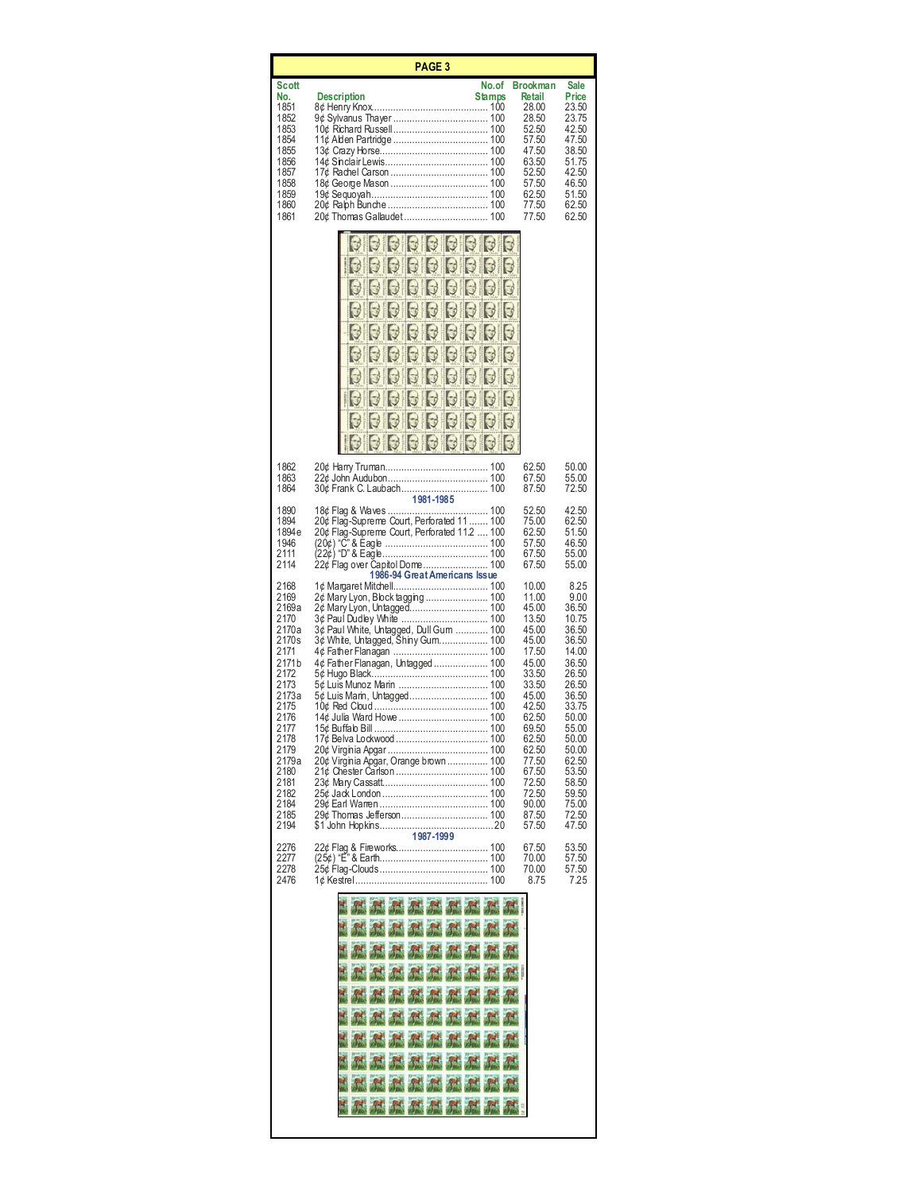| <b>PAGE 3</b>                                                                                                                                                                              |                                                                                                                                                                                                                                                                                                                                                             |                                                                                                                                                                                                             |                                                                                                                                                                                                           |  |
|--------------------------------------------------------------------------------------------------------------------------------------------------------------------------------------------|-------------------------------------------------------------------------------------------------------------------------------------------------------------------------------------------------------------------------------------------------------------------------------------------------------------------------------------------------------------|-------------------------------------------------------------------------------------------------------------------------------------------------------------------------------------------------------------|-----------------------------------------------------------------------------------------------------------------------------------------------------------------------------------------------------------|--|
| Scott<br>No.<br>1851<br>1852<br>1853<br>1854<br>1855<br>1856<br>1857<br>1858<br>1859<br>1860<br>1861                                                                                       | No.of<br><b>Stamps</b><br><b>Description</b><br>20¢ Thomas Gallaudet 100                                                                                                                                                                                                                                                                                    | <b>Brookman</b><br>Retail<br>28.00<br>28.50<br>52.50<br>57.50<br>47.50<br>63.50<br>52.50<br>57.50<br>62.50<br>77.50<br>77.50                                                                                | Sale<br>Price<br>23.50<br>23.75<br>42.50<br>47.50<br>38.50<br>51.75<br>42.50<br>46.50<br>51.50<br>62.50<br>62.50                                                                                          |  |
|                                                                                                                                                                                            | <b>3 6 6 6 6 6 6</b><br>33333<br>IJ<br>331<br>Ы<br>$\mathbb{Z}$<br>$\cup$<br>3<br>$\Box$<br>J<br>$\cup$<br>$\Box$<br>3350                                                                                                                                                                                                                                   |                                                                                                                                                                                                             |                                                                                                                                                                                                           |  |
| 1862<br>1863<br>1864                                                                                                                                                                       | 30¢ Frank C. Laubach 100                                                                                                                                                                                                                                                                                                                                    | 62.50<br>67.50<br>87.50                                                                                                                                                                                     | 50.00<br>55.00<br>72.50                                                                                                                                                                                   |  |
| 1890<br>1894<br>1894e<br>1946<br>2111<br>2114                                                                                                                                              | 1981-1985<br>20¢ Flag-Supreme Court, Perforated 11  100<br>20¢ Flag-Supreme Court, Perforated 11.2  100<br>(20¢) "Č" & Ėagle ……………………………… 100<br>(22¢) "D" & Eagle……………………………… 100<br>22¢ Flag over Capitol Dome 100<br>1986-94 Great Americans Issue                                                                                                       | 52.50<br>75.00<br>62.50<br>57.50<br>67.50<br>67.50                                                                                                                                                          | 42.50<br>62.50<br>51.50<br>46.50<br>55.00<br>55.00                                                                                                                                                        |  |
| 2168<br>2169<br>2169a<br>2170<br>2170a<br>2170s<br>2171<br>2171b<br>2172<br>2173<br>2173a<br>2175<br>2176<br>2177<br>2178<br>2179<br>2179a<br>2180<br>2181<br>2182<br>2184<br>2185<br>2194 | 2¢ Mary Lyon, Block tagging  100<br>2¢ Mary Lyon, Untagged 100<br>3¢ Paul White, Untagged, Dull Gum  100<br>3¢ White, Untagged, Shiny Gum 100<br>4¢ Father Flanagan, Untagged  100<br>5¢ Luis Munoz Marin  100<br>5¢ Luis Marin, Untagged 100<br>14¢ Julia Ward Howe  100<br>20¢ Virginia Apgar, Orange brown  100<br>29¢ Thomas Jefferson 100<br>1987-1999 | 10.00<br>11.00<br>45.00<br>13.50<br>45.00<br>45.00<br>17.50<br>45.00<br>33.50<br>33.50<br>45.00<br>42.50<br>62.50<br>69.50<br>62.50<br>62.50<br>77.50<br>67.50<br>72.50<br>72.50<br>90.00<br>87.50<br>57.50 | 8.25<br>9.00<br>36.50<br>10.75<br>36.50<br>36.50<br>14.00<br>36.50<br>26.50<br>26.50<br>36.50<br>33.75<br>50.00<br>55.00<br>50.00<br>50.00<br>62.50<br>53.50<br>58.50<br>59.50<br>75.00<br>72.50<br>47.50 |  |
| 2276<br>2277<br>2278<br>2476                                                                                                                                                               | (25¢) "E" & Earth………………………………… 100                                                                                                                                                                                                                                                                                                                          | 67.50<br>70.00<br>70.00<br>8.75                                                                                                                                                                             | 53.50<br>57.50<br>57.50<br>7.25                                                                                                                                                                           |  |
|                                                                                                                                                                                            | <b>MAMMAMM</b><br>And And And And And And<br>孤孤然然然<br><b>AS AS AS AS AS</b><br><b>高速 高速 不動 不動</b><br><b>And And And And And</b><br>MMMMM<br>然外的体质<br>45 45 45 45 45<br>体系体体系                                                                                                                                                                                |                                                                                                                                                                                                             |                                                                                                                                                                                                           |  |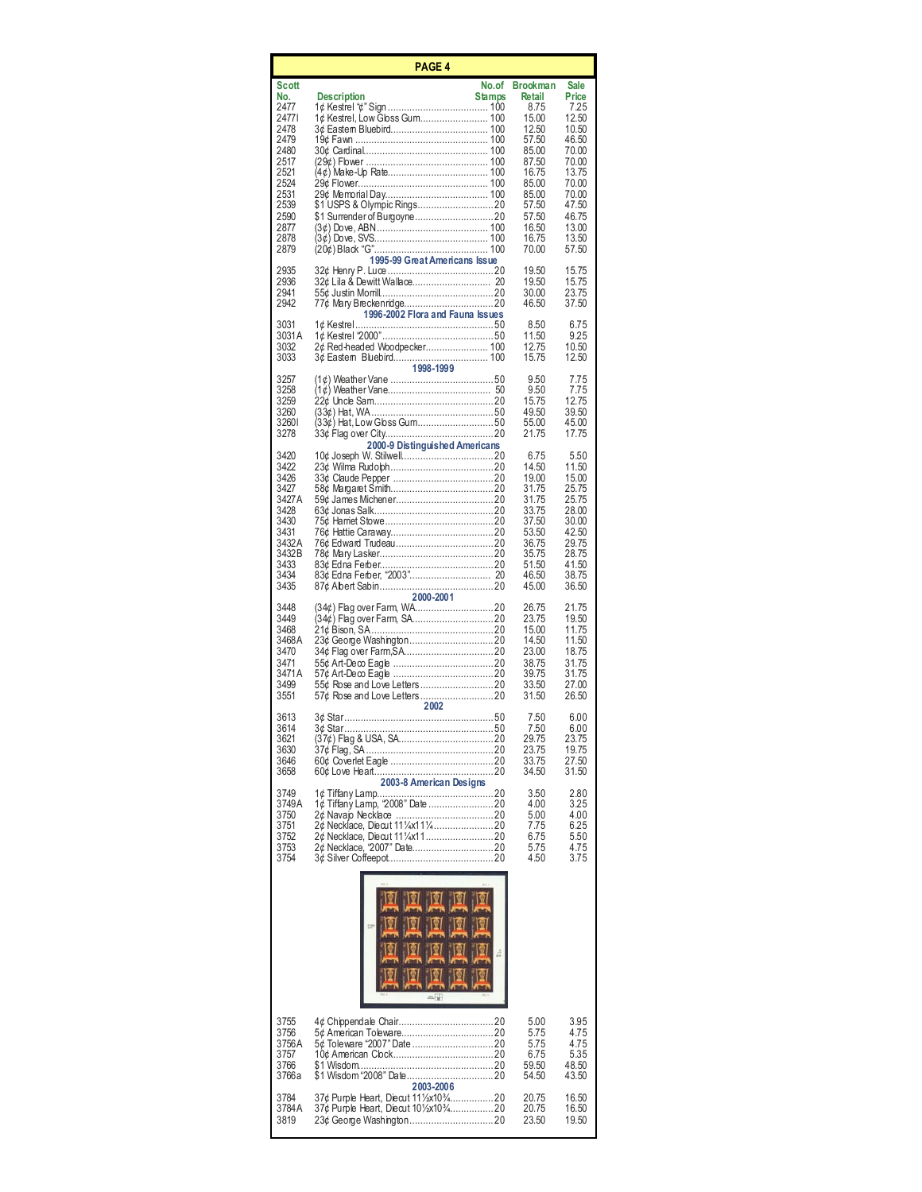| <b>PAGE 4</b>                                                                                                                 |                                                                                                                                                |                                                                                                                                                        |                                                                                                                                                   |  |
|-------------------------------------------------------------------------------------------------------------------------------|------------------------------------------------------------------------------------------------------------------------------------------------|--------------------------------------------------------------------------------------------------------------------------------------------------------|---------------------------------------------------------------------------------------------------------------------------------------------------|--|
| Scott<br>No.<br>2477<br>24771<br>2478<br>2479<br>2480<br>2517<br>2521<br>2524<br>2531<br>2539<br>2590<br>2877<br>2878<br>2879 | No.of<br><b>Stamps</b><br><b>Description</b><br>1¢ Kestrel, Low Gbss Gum 100<br>29¢ Flower……………………………………… 100<br>1995-99 Great Americans Issue | <b>Brookman</b><br>Retail<br>8.75<br>15.00<br>12.50<br>57.50<br>85.00<br>87.50<br>16.75<br>85.00<br>85.00<br>57.50<br>57.50<br>16.50<br>16.75<br>70.00 | <b>Sale</b><br>Price<br>7.25<br>12.50<br>10.50<br>46.50<br>70.00<br>70.00<br>13.75<br>70.00<br>70.00<br>47.50<br>46.75<br>13.00<br>13.50<br>57.50 |  |
| 2935<br>2936<br>2941<br>2942                                                                                                  | 1996-2002 Flora and Fauna Issues                                                                                                               | 19.50<br>19.50<br>30.00<br>46.50                                                                                                                       | 15.75<br>15.75<br>23.75<br>37.50                                                                                                                  |  |
| 3031<br>3031 A<br>3032<br>3033                                                                                                | 2¢ Red-headed Woodpecker 100<br>1998-1999                                                                                                      | 8.50<br>11.50<br>12.75<br>15.75                                                                                                                        | 6.75<br>9.25<br>10.50<br>12.50                                                                                                                    |  |
| 3257<br>3258<br>3259<br>3260<br>32601<br>3278                                                                                 | 2000-9 Distinguished Americans                                                                                                                 | 9.50<br>9.50<br>15.75<br>49.50<br>55.00<br>21.75                                                                                                       | 7.75<br>7.75<br>12.75<br>39.50<br>45.00<br>17.75                                                                                                  |  |
| 3420<br>3422<br>3426<br>3427<br>3427 A<br>3428<br>3430<br>3431<br>3432A<br>3432B<br>3433<br>3434<br>3435                      |                                                                                                                                                | 6.75<br>14.50<br>19.00<br>31.75<br>31.75<br>33.75<br>37.50<br>53.50<br>36.75<br>35.75<br>51.50<br>46.50<br>45.00                                       | 5.50<br>11.50<br>15.00<br>25.75<br>25.75<br>28.00<br>30.00<br>42.50<br>29.75<br>28.75<br>41.50<br>38.75<br>36.50                                  |  |
| 3448<br>3449<br>3468<br>3468 A<br>3470<br>3471<br>3471A<br>3499<br>3551                                                       | 2000-2001                                                                                                                                      | 26.75<br>23.75<br>15.00<br>14.50<br>23.00<br>38.75<br>39.75<br>33.50<br>31.50                                                                          | 21.75<br>19.50<br>11.75<br>11.50<br>18.75<br>31.75<br>31.75<br>27.00<br>26.50                                                                     |  |
| 3613<br>3614<br>3621<br>3630<br>3646<br>3658                                                                                  | 2002<br>2003-8 American Designs                                                                                                                | 7.50<br>7.50<br>29.75<br>23.75<br>33.75<br>34.50                                                                                                       | 6.00<br>6.00<br>23.75<br>19.75<br>27.50<br>31.50                                                                                                  |  |
| 3749<br>3749A<br>3750<br>3751<br>3752<br>3753<br>3754                                                                         |                                                                                                                                                | 3.50<br>4.00<br>5.00<br>7.75<br>6.75<br>5.75<br>4.50                                                                                                   | 2.80<br>3.25<br>4.00<br>6.25<br>5.50<br>4.75<br>3.75                                                                                              |  |
|                                                                                                                               | â                                                                                                                                              |                                                                                                                                                        |                                                                                                                                                   |  |
| 3755<br>3756<br>3756A<br>3757<br>3766<br>3766a                                                                                |                                                                                                                                                | 5.00<br>5.75<br>5.75<br>6.75<br>59.50<br>54.50                                                                                                         | 3.95<br>4.75<br>4.75<br>5.35<br>48.50<br>43.50                                                                                                    |  |
| 3784<br>3784 A<br>3819                                                                                                        | 2003-2006<br>37¢ Purple Heart, Diecut 111/2x103/4 20<br>37¢ Purple Heart, Diecut 101/2x103/420                                                 | 20.75<br>20.75<br>23.50                                                                                                                                | 16.50<br>16.50<br>19.50                                                                                                                           |  |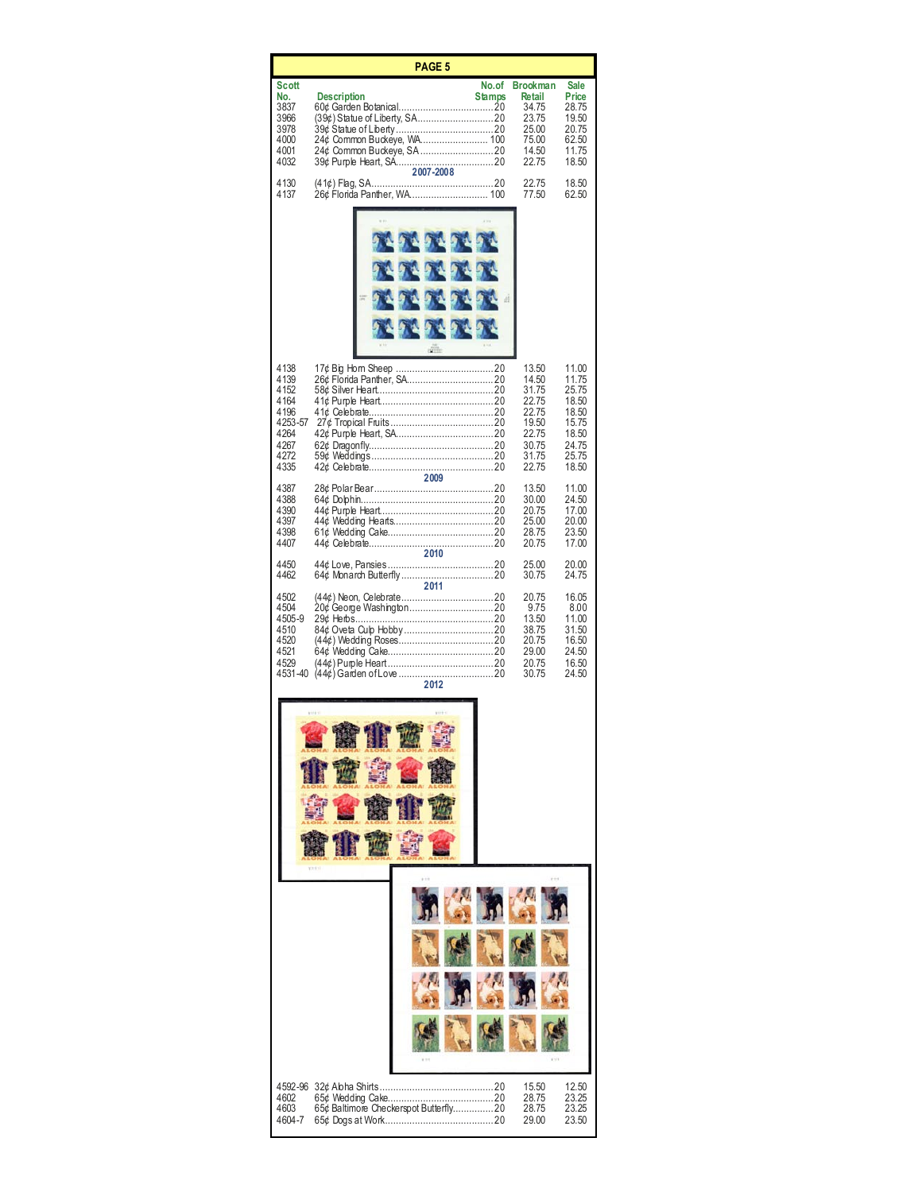|                                                                                     | PAGE <sub>5</sub>                                                                                         |                                                                                                   |                                                                                        |
|-------------------------------------------------------------------------------------|-----------------------------------------------------------------------------------------------------------|---------------------------------------------------------------------------------------------------|----------------------------------------------------------------------------------------|
| <b>Scott</b><br>No.<br>3837<br>3966<br>3978<br>4000<br>4001<br>4032<br>4130<br>4137 | No.of<br><b>Description</b><br><b>Stamps</b><br>24¢ Common Buckeye, WA 100<br>26¢ Florida Panther, WA 100 | <b>Brookman</b><br>Retail<br>34.75<br>23.75<br>25.00<br>75.00<br>14.50<br>22.75<br>22.75<br>77.50 | Sale<br>Price<br>28.75<br>19.50<br>20.75<br>62.50<br>11.75<br>18.50<br>18.50<br>62.50  |
|                                                                                     | 202020202<br>24242424<br>4949494<br>ä<br>2929292                                                          |                                                                                                   |                                                                                        |
| 4138<br>4139<br>4152<br>4164<br>4196<br>4253-57<br>4264<br>4267<br>4272<br>4335     |                                                                                                           | 13.50<br>14.50<br>31.75<br>22.75<br>22.75<br>19.50<br>22.75<br>30.75<br>31.75<br>22.75            | 11.00<br>11.75<br>25.75<br>18.50<br>18.50<br>15.75<br>18.50<br>24.75<br>25.75<br>18.50 |
| 4387<br>4388<br>4390<br>4397<br>4398<br>4407<br>4450                                | 2010                                                                                                      | 13.50<br>30.00<br>20.75<br>25.00<br>28.75<br>20.75<br>25.00                                       | 11.00<br>24.50<br>17.00<br>20.00<br>23.50<br>17.00<br>20.00                            |
| 4462<br>4502<br>4504<br>4505-9<br>4510<br>4520<br>4521<br>4529<br>4531-40           | 2011<br>2012                                                                                              | 30.75<br>20.75<br>9.75<br>13.50<br>38.75<br>20.75<br>29.00<br>20.75<br>30.75                      | 24.75<br>16.05<br>8.00<br>11.00<br>31.50<br>16.50<br>24.50<br>16.50<br>24.50           |
|                                                                                     |                                                                                                           |                                                                                                   |                                                                                        |
|                                                                                     |                                                                                                           |                                                                                                   |                                                                                        |
| 4592-96<br>4602<br>4603<br>4604-7                                                   | 65¢ Baltimore Checkerspot Butterfly20                                                                     | 15.50<br>28.75<br>28.75<br>29.00                                                                  | 12.50<br>23.25<br>23.25<br>23.50                                                       |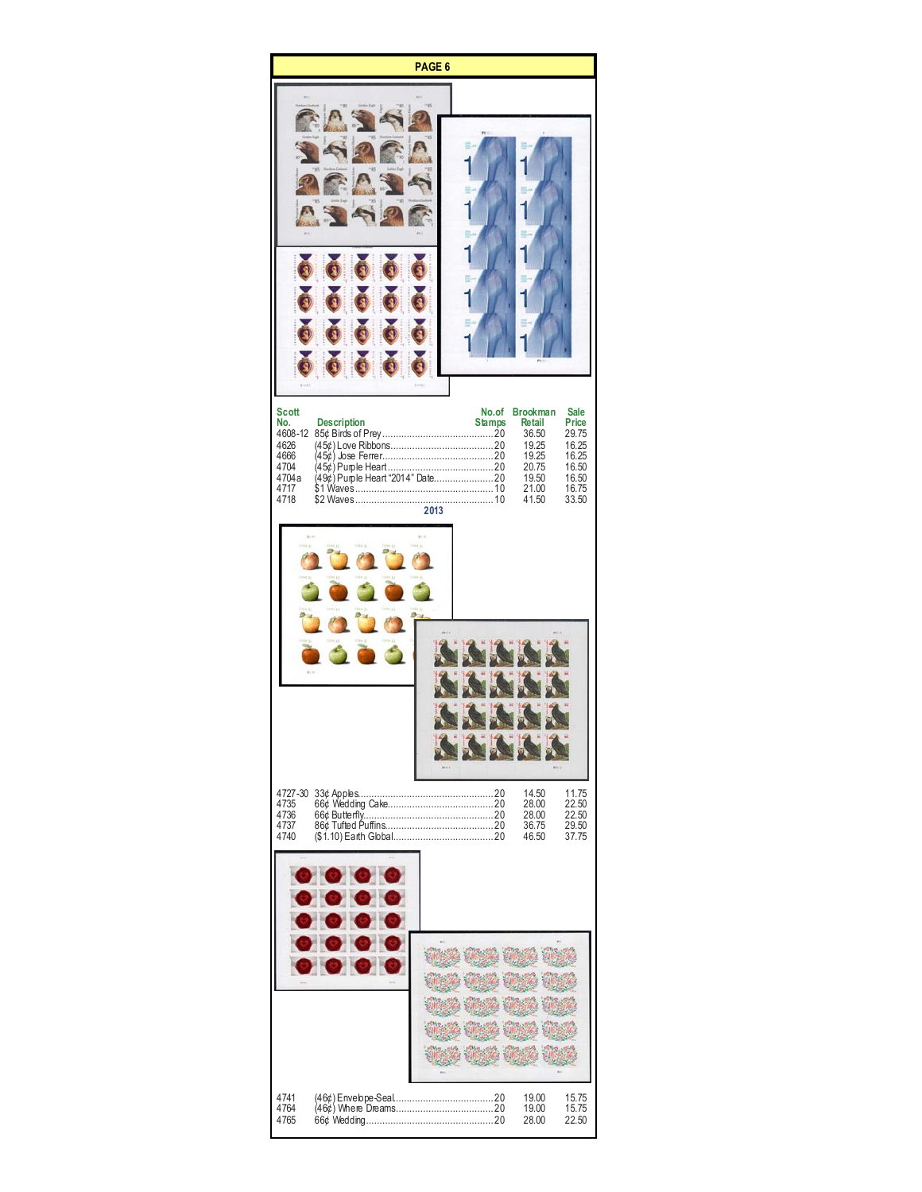